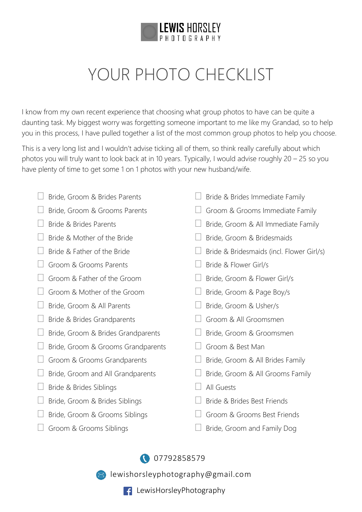

## YOUR PHOTO CHECKLIST

I know from my own recent experience that choosing what group photos to have can be quite a daunting task. My biggest worry was forgetting someone important to me like my Grandad, so to help you in this process, I have pulled together a list of the most common group photos to help you choose.

This is a very long list and I wouldn't advise ticking all of them, so think really carefully about which photos you will truly want to look back at in 10 years. Typically, I would advise roughly 20 – 25 so you have plenty of time to get some 1 on 1 photos with your new husband/wife.

- $\Box$  Bride, Groom & Brides Parents
- $\Box$  Bride, Groom & Grooms Parents
- $\Box$  Bride & Brides Parents
- $\Box$  Bride & Mother of the Bride
- $\Box$  Bride & Father of the Bride
- Groom & Grooms Parents
- $\Box$  Groom & Father of the Groom
- Groom & Mother of the Groom
- □ Bride, Groom & All Parents
- $\Box$  Bride & Brides Grandparents
- $\Box$  Bride, Groom & Brides Grandparents
- $\Box$  Bride, Groom & Grooms Grandparents
- $\Box$  Groom & Grooms Grandparents
- $\Box$  Bride, Groom and All Grandparents
- $\Box$  Bride & Brides Siblings
- $\Box$  Bride, Groom & Brides Siblings
- $\Box$  Bride, Groom & Grooms Siblings
- $\Box$  Groom & Grooms Siblings
- $\Box$  Bride & Brides Immediate Family
- $\Box$  Groom & Grooms Immediate Family
- $\Box$  Bride, Groom & All Immediate Family
- □ Bride, Groom & Bridesmaids
- $\Box$  Bride & Bridesmaids (incl. Flower Girl/s)
- $\Box$  Bride & Flower Girl/s
- □ Bride, Groom & Flower Girl/s
- $\Box$  Bride, Groom & Page Boy/s
- □ Bride, Groom & Usher/s
- Groom & All Groomsmen
- | | Bride, Groom & Groomsmen
- Groom & Best Man
- $\Box$  Bride, Groom & All Brides Family
- $\Box$  Bride, Groom & All Grooms Family
- All Guests
- □ Bride & Brides Best Friends
- Groom & Grooms Best Friends
- $\Box$  Bride, Groom and Family Dog

[07792858579](tel:07792858579)

**M** [lewishorsleyphotography@gmail.com](mailto:lewishorsleyphotography@gmail.com?subject=Wedding%20Enquiry)

**F** LewisHorsleyPhotography